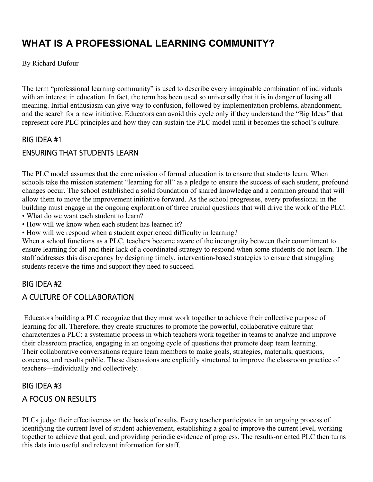# **WHAT IS A PROFESSIONAL LEARNING COMMUNITY?**

By Richard Dufour

The term "professional learning community" is used to describe every imaginable combination of individuals with an interest in education. In fact, the term has been used so universally that it is in danger of losing all meaning. Initial enthusiasm can give way to confusion, followed by implementation problems, abandonment, and the search for a new initiative. Educators can avoid this cycle only if they understand the "Big Ideas" that represent core PLC principles and how they can sustain the PLC model until it becomes the school's culture.

## BIG IDEA #1

## ENSURING THAT STUDENTS LEARN

The PLC model assumes that the core mission of formal education is to ensure that students learn. When schools take the mission statement "learning for all" as a pledge to ensure the success of each student, profound changes occur. The school established a solid foundation of shared knowledge and a common ground that will allow them to move the improvement initiative forward. As the school progresses, every professional in the building must engage in the ongoing exploration of three crucial questions that will drive the work of the PLC:

- What do we want each student to learn?
- How will we know when each student has learned it?
- How will we respond when a student experienced difficulty in learning?

When a school functions as a PLC, teachers become aware of the incongruity between their commitment to ensure learning for all and their lack of a coordinated strategy to respond when some students do not learn. The staff addresses this discrepancy by designing timely, intervention-based strategies to ensure that struggling students receive the time and support they need to succeed.

## BIG IDEA #2

## A CULTURE OF COLLABORATION

Educators building a PLC recognize that they must work together to achieve their collective purpose of learning for all. Therefore, they create structures to promote the powerful, collaborative culture that characterizes a PLC: a systematic process in which teachers work together in teams to analyze and improve their classroom practice, engaging in an ongoing cycle of questions that promote deep team learning. Their collaborative conversations require team members to make goals, strategies, materials, questions, concerns, and results public. These discussions are explicitly structured to improve the classroom practice of teachers—individually and collectively.

#### BIG IDEA #3

## A FOCUS ON RESULTS

PLCs judge their effectiveness on the basis of results. Every teacher participates in an ongoing process of identifying the current level of student achievement, establishing a goal to improve the current level, working together to achieve that goal, and providing periodic evidence of progress. The results-oriented PLC then turns this data into useful and relevant information for staff.